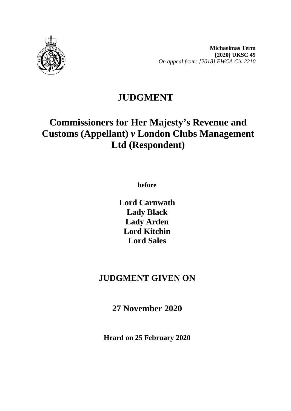

**Michaelmas Term [2020] UKSC 49**  *On appeal from: [2018] EWCA Civ 2210* 

## **JUDGMENT**

# **Commissioners for Her Majesty's Revenue and Customs (Appellant)** *v* **London Clubs Management Ltd (Respondent)**

**before** 

**Lord Carnwath Lady Black Lady Arden Lord Kitchin Lord Sales**

## **JUDGMENT GIVEN ON**

**27 November 2020**

**Heard on 25 February 2020**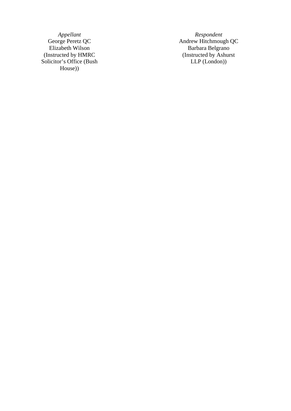*Appellant Respondent*<br>George Peretz QC *Andrew Hitchmoug* (Instructed by HMRC Solicitor's Office (Bush House) )

George Peretz QC<br>
Elizabeth Wilson Barbara Belgrano Barbara Belgrano (Instructed by Ashurst LLP (London) )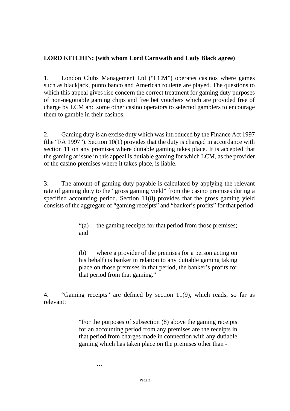## **LORD KITCHIN: (with whom Lord Carnwath and Lady Black agree)**

1. London Clubs Management Ltd ("LCM") operates casinos where games such as blackjack, punto banco and American roulette are played. The questions to which this appeal gives rise concern the correct treatment for gaming duty purposes of non-negotiable gaming chips and free bet vouchers which are provided free of charge by LCM and some other casino operators to selected gamblers to encourage them to gamble in their casinos.

2. Gaming duty is an excise duty which was introduced by the Finance Act 1997 (the "FA 1997"). Section 10(1) provides that the duty is charged in accordance with section 11 on any premises where dutiable gaming takes place. It is accepted that the gaming at issue in this appeal is dutiable gaming for which LCM, as the provider of the casino premises where it takes place, is liable.

3. The amount of gaming duty payable is calculated by applying the relevant rate of gaming duty to the "gross gaming yield" from the casino premises during a specified accounting period. Section 11(8) provides that the gross gaming yield consists of the aggregate of "gaming receipts" and "banker's profits" for that period:

> "(a) the gaming receipts for that period from those premises; and

> (b) where a provider of the premises (or a person acting on his behalf) is banker in relation to any dutiable gaming taking place on those premises in that period, the banker's profits for that period from that gaming."

4. "Gaming receipts" are defined by section 11(9), which reads, so far as relevant:

> "For the purposes of subsection (8) above the gaming receipts for an accounting period from any premises are the receipts in that period from charges made in connection with any dutiable gaming which has taken place on the premises other than -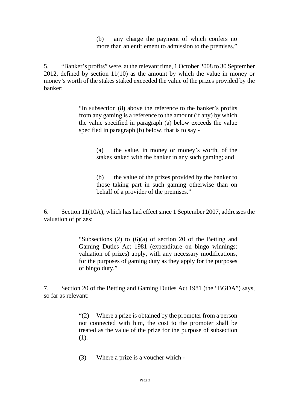(b) any charge the payment of which confers no more than an entitlement to admission to the premises."

5. "Banker's profits" were, at the relevant time, 1 October 2008 to 30 September 2012, defined by section 11(10) as the amount by which the value in money or money's worth of the stakes staked exceeded the value of the prizes provided by the banker:

> "In subsection (8) above the reference to the banker's profits from any gaming is a reference to the amount (if any) by which the value specified in paragraph (a) below exceeds the value specified in paragraph (b) below, that is to say -

> > (a) the value, in money or money's worth, of the stakes staked with the banker in any such gaming; and

> > (b) the value of the prizes provided by the banker to those taking part in such gaming otherwise than on behalf of a provider of the premises."

6. Section 11(10A), which has had effect since 1 September 2007, addresses the valuation of prizes:

> "Subsections (2) to (6)(a) of section 20 of the Betting and Gaming Duties Act 1981 (expenditure on bingo winnings: valuation of prizes) apply, with any necessary modifications, for the purposes of gaming duty as they apply for the purposes of bingo duty."

7. Section 20 of the Betting and Gaming Duties Act 1981 (the "BGDA") says, so far as relevant:

> "(2) Where a prize is obtained by the promoter from a person not connected with him, the cost to the promoter shall be treated as the value of the prize for the purpose of subsection (1).

(3) Where a prize is a voucher which -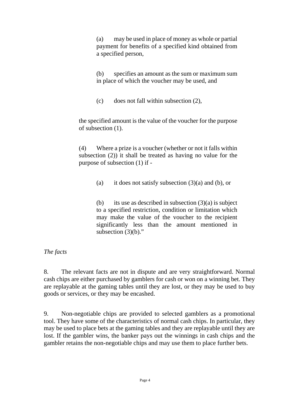(a) may be used in place of money as whole or partial payment for benefits of a specified kind obtained from a specified person,

(b) specifies an amount as the sum or maximum sum in place of which the voucher may be used, and

(c) does not fall within subsection (2),

the specified amount is the value of the voucher for the purpose of subsection (1).

(4) Where a prize is a voucher (whether or not it falls within subsection (2)) it shall be treated as having no value for the purpose of subsection (1) if -

(a) it does not satisfy subsection  $(3)(a)$  and (b), or

(b) its use as described in subsection  $(3)(a)$  is subject to a specified restriction, condition or limitation which may make the value of the voucher to the recipient significantly less than the amount mentioned in subsection  $(3)(b)$ ."

#### *The facts*

8. The relevant facts are not in dispute and are very straightforward. Normal cash chips are either purchased by gamblers for cash or won on a winning bet. They are replayable at the gaming tables until they are lost, or they may be used to buy goods or services, or they may be encashed.

9. Non-negotiable chips are provided to selected gamblers as a promotional tool. They have some of the characteristics of normal cash chips. In particular, they may be used to place bets at the gaming tables and they are replayable until they are lost. If the gambler wins, the banker pays out the winnings in cash chips and the gambler retains the non-negotiable chips and may use them to place further bets.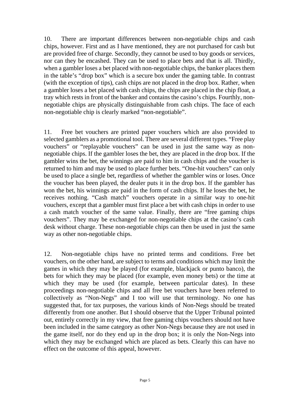10. There are important differences between non-negotiable chips and cash chips, however. First and as I have mentioned, they are not purchased for cash but are provided free of charge. Secondly, they cannot be used to buy goods or services, nor can they be encashed. They can be used to place bets and that is all. Thirdly, when a gambler loses a bet placed with non-negotiable chips, the banker places them in the table's "drop box" which is a secure box under the gaming table. In contrast (with the exception of tips), cash chips are not placed in the drop box. Rather, when a gambler loses a bet placed with cash chips, the chips are placed in the chip float, a tray which rests in front of the banker and contains the casino's chips. Fourthly, nonnegotiable chips are physically distinguishable from cash chips. The face of each non-negotiable chip is clearly marked "non-negotiable".

11. Free bet vouchers are printed paper vouchers which are also provided to selected gamblers as a promotional tool. There are several different types. "Free play vouchers" or "replayable vouchers" can be used in just the same way as nonnegotiable chips. If the gambler loses the bet, they are placed in the drop box. If the gambler wins the bet, the winnings are paid to him in cash chips and the voucher is returned to him and may be used to place further bets. "One-hit vouchers" can only be used to place a single bet, regardless of whether the gambler wins or loses. Once the voucher has been played, the dealer puts it in the drop box. If the gambler has won the bet, his winnings are paid in the form of cash chips. If he loses the bet, he receives nothing. "Cash match" vouchers operate in a similar way to one-hit vouchers, except that a gambler must first place a bet with cash chips in order to use a cash match voucher of the same value. Finally, there are "free gaming chips vouchers". They may be exchanged for non-negotiable chips at the casino's cash desk without charge. These non-negotiable chips can then be used in just the same way as other non-negotiable chips.

12. Non-negotiable chips have no printed terms and conditions. Free bet vouchers, on the other hand, are subject to terms and conditions which may limit the games in which they may be played (for example, blackjack or punto banco), the bets for which they may be placed (for example, even money bets) or the time at which they may be used (for example, between particular dates). In these proceedings non-negotiable chips and all free bet vouchers have been referred to collectively as "Non-Negs" and I too will use that terminology. No one has suggested that, for tax purposes, the various kinds of Non-Negs should be treated differently from one another. But I should observe that the Upper Tribunal pointed out, entirely correctly in my view, that free gaming chips vouchers should not have been included in the same category as other Non-Negs because they are not used in the game itself, nor do they end up in the drop box; it is only the Non-Negs into which they may be exchanged which are placed as bets. Clearly this can have no effect on the outcome of this appeal, however.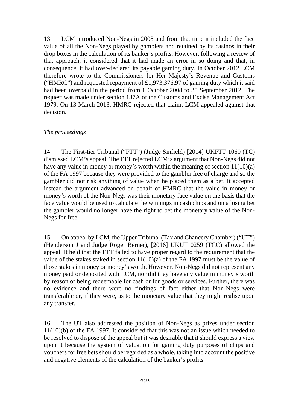13. LCM introduced Non-Negs in 2008 and from that time it included the face value of all the Non-Negs played by gamblers and retained by its casinos in their drop boxes in the calculation of its banker's profits. However, following a review of that approach, it considered that it had made an error in so doing and that, in consequence, it had over-declared its payable gaming duty. In October 2012 LCM therefore wrote to the Commissioners for Her Majesty's Revenue and Customs ("HMRC") and requested repayment of £1,973,376.97 of gaming duty which it said had been overpaid in the period from 1 October 2008 to 30 September 2012. The request was made under section 137A of the Customs and Excise Management Act 1979. On 13 March 2013, HMRC rejected that claim. LCM appealed against that decision.

#### *The proceedings*

14. The First-tier Tribunal ("FTT") (Judge Sinfield) [2014] UKFTT 1060 (TC) dismissed LCM's appeal. The FTT rejected LCM's argument that Non-Negs did not have any value in money or money's worth within the meaning of section  $11(10)(a)$ of the FA 1997 because they were provided to the gambler free of charge and so the gambler did not risk anything of value when he placed them as a bet. It accepted instead the argument advanced on behalf of HMRC that the value in money or money's worth of the Non-Negs was their monetary face value on the basis that the face value would be used to calculate the winnings in cash chips and on a losing bet the gambler would no longer have the right to bet the monetary value of the Non-Negs for free.

15. On appeal by LCM, the Upper Tribunal (Tax and Chancery Chamber) ("UT") (Henderson J and Judge Roger Berner), [2016] UKUT 0259 (TCC) allowed the appeal. It held that the FTT failed to have proper regard to the requirement that the value of the stakes staked in section 11(10)(a) of the FA 1997 must be the value of those stakes in money or money's worth. However, Non-Negs did not represent any money paid or deposited with LCM, nor did they have any value in money's worth by reason of being redeemable for cash or for goods or services. Further, there was no evidence and there were no findings of fact either that Non-Negs were transferable or, if they were, as to the monetary value that they might realise upon any transfer.

16. The UT also addressed the position of Non-Negs as prizes under section 11(10)(b) of the FA 1997. It considered that this was not an issue which needed to be resolved to dispose of the appeal but it was desirable that it should express a view upon it because the system of valuation for gaming duty purposes of chips and vouchers for free bets should be regarded as a whole, taking into account the positive and negative elements of the calculation of the banker's profits.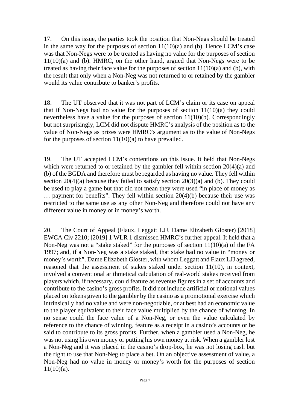17. On this issue, the parties took the position that Non-Negs should be treated in the same way for the purposes of section  $11(10)(a)$  and (b). Hence LCM's case was that Non-Negs were to be treated as having no value for the purposes of section 11(10)(a) and (b). HMRC, on the other hand, argued that Non-Negs were to be treated as having their face value for the purposes of section  $11(10)(a)$  and (b), with the result that only when a Non-Neg was not returned to or retained by the gambler would its value contribute to banker's profits.

18. The UT observed that it was not part of LCM's claim or its case on appeal that if Non-Negs had no value for the purposes of section 11(10)(a) they could nevertheless have a value for the purposes of section 11(10)(b). Correspondingly but not surprisingly, LCM did not dispute HMRC's analysis of the position as to the value of Non-Negs as prizes were HMRC's argument as to the value of Non-Negs for the purposes of section  $11(10)(a)$  to have prevailed.

19. The UT accepted LCM's contentions on this issue. It held that Non-Negs which were returned to or retained by the gambler fell within section  $20(4)(a)$  and (b) of the BGDA and therefore must be regarded as having no value. They fell within section  $20(4)(a)$  because they failed to satisfy section  $20(3)(a)$  and (b). They could be used to play a game but that did not mean they were used "in place of money as … payment for benefits". They fell within section 20(4)(b) because their use was restricted to the same use as any other Non-Neg and therefore could not have any different value in money or in money's worth.

20. The Court of Appeal (Flaux, Leggatt LJJ, Dame Elizabeth Gloster) [2018] EWCA Civ 2210; [2019] 1 WLR 1 dismissed HMRC's further appeal. It held that a Non-Neg was not a "stake staked" for the purposes of section 11(10)(a) of the FA 1997; and, if a Non-Neg was a stake staked, that stake had no value in "money or money's worth". Dame Elizabeth Gloster, with whom Leggatt and Flaux LJJ agreed, reasoned that the assessment of stakes staked under section 11(10), in context, involved a conventional arithmetical calculation of real-world stakes received from players which, if necessary, could feature as revenue figures in a set of accounts and contribute to the casino's gross profits. It did not include artificial or notional values placed on tokens given to the gambler by the casino as a promotional exercise which intrinsically had no value and were non-negotiable, or at best had an economic value to the player equivalent to their face value multiplied by the chance of winning. In no sense could the face value of a Non-Neg, or even the value calculated by reference to the chance of winning, feature as a receipt in a casino's accounts or be said to contribute to its gross profits. Further, when a gambler used a Non-Neg, he was not using his own money or putting his own money at risk. When a gambler lost a Non-Neg and it was placed in the casino's drop-box, he was not losing cash but the right to use that Non-Neg to place a bet. On an objective assessment of value, a Non-Neg had no value in money or money's worth for the purposes of section 11(10)(a).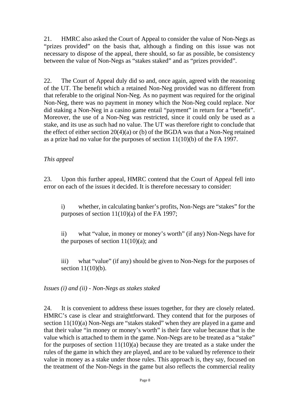21. HMRC also asked the Court of Appeal to consider the value of Non-Negs as "prizes provided" on the basis that, although a finding on this issue was not necessary to dispose of the appeal, there should, so far as possible, be consistency between the value of Non-Negs as "stakes staked" and as "prizes provided".

22. The Court of Appeal duly did so and, once again, agreed with the reasoning of the UT. The benefit which a retained Non-Neg provided was no different from that referable to the original Non-Neg. As no payment was required for the original Non-Neg, there was no payment in money which the Non-Neg could replace. Nor did staking a Non-Neg in a casino game entail "payment" in return for a "benefit". Moreover, the use of a Non-Neg was restricted, since it could only be used as a stake, and its use as such had no value. The UT was therefore right to conclude that the effect of either section 20(4)(a) or (b) of the BGDA was that a Non-Neg retained as a prize had no value for the purposes of section 11(10)(b) of the FA 1997.

## *This appeal*

23. Upon this further appeal, HMRC contend that the Court of Appeal fell into error on each of the issues it decided. It is therefore necessary to consider:

i) whether, in calculating banker's profits, Non-Negs are "stakes" for the purposes of section 11(10)(a) of the FA 1997;

ii) what "value, in money or money's worth" (if any) Non-Negs have for the purposes of section  $11(10)(a)$ ; and

iii) what "value" (if any) should be given to Non-Negs for the purposes of section 11(10)(b).

*Issues (i) and (ii) - Non-Negs as stakes staked*

24. It is convenient to address these issues together, for they are closely related. HMRC's case is clear and straightforward. They contend that for the purposes of section 11(10)(a) Non-Negs are "stakes staked" when they are played in a game and that their value "in money or money's worth" is their face value because that is the value which is attached to them in the game. Non-Negs are to be treated as a "stake" for the purposes of section  $11(10)(a)$  because they are treated as a stake under the rules of the game in which they are played, and are to be valued by reference to their value in money as a stake under those rules. This approach is, they say, focused on the treatment of the Non-Negs in the game but also reflects the commercial reality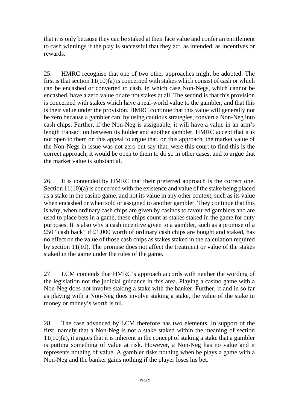that it is only because they can be staked at their face value and confer an entitlement to cash winnings if the play is successful that they act, as intended, as incentives or rewards.

25. HMRC recognise that one of two other approaches might be adopted. The first is that section  $11(10)(a)$  is concerned with stakes which consist of cash or which can be encashed or converted to cash, in which case Non-Negs, which cannot be encashed, have a zero value or are not stakes at all. The second is that this provision is concerned with stakes which have a real-world value to the gambler, and that this is their value under the provision. HMRC continue that this value will generally not be zero because a gambler can, by using cautious strategies, convert a Non-Neg into cash chips. Further, if the Non-Neg is assignable, it will have a value in an arm's length transaction between its holder and another gambler. HMRC accept that it is not open to them on this appeal to argue that, on this approach, the market value of the Non-Negs in issue was not zero but say that, were this court to find this is the correct approach, it would be open to them to do so in other cases, and to argue that the market value is substantial.

26. It is contended by HMRC that their preferred approach is the correct one. Section 11(10)(a) is concerned with the existence and value of the stake being placed as a stake in the casino game, and not its value in any other context, such as its value when encashed or when sold or assigned to another gambler. They continue that this is why, when ordinary cash chips are given by casinos to favoured gamblers and are used to place bets in a game, these chips count as stakes staked in the game for duty purposes. It is also why a cash incentive given to a gambler, such as a promise of a £50 "cash back" if £1,000 worth of ordinary cash chips are bought and staked, has no effect on the value of those cash chips as stakes staked in the calculation required by section 11(10). The promise does not affect the treatment or value of the stakes staked in the game under the rules of the game.

27. LCM contends that HMRC's approach accords with neither the wording of the legislation nor the judicial guidance in this area. Playing a casino game with a Non-Neg does not involve staking a stake with the banker. Further, if and in so far as playing with a Non-Neg does involve staking a stake, the value of the stake in money or money's worth is nil.

28. The case advanced by LCM therefore has two elements. In support of the first, namely that a Non-Neg is not a stake staked within the meaning of section 11(10)(a), it argues that it is inherent in the concept of staking a stake that a gambler is putting something of value at risk. However, a Non-Neg has no value and it represents nothing of value. A gambler risks nothing when he plays a game with a Non-Neg and the banker gains nothing if the player loses his bet.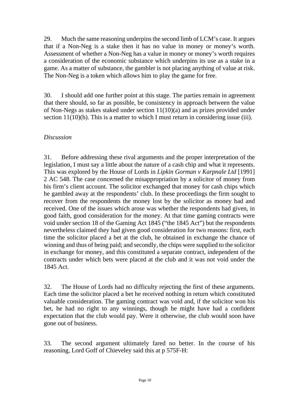29. Much the same reasoning underpins the second limb of LCM's case. It argues that if a Non-Neg is a stake then it has no value in money or money's worth. Assessment of whether a Non-Neg has a value in money or money's worth requires a consideration of the economic substance which underpins its use as a stake in a game. As a matter of substance, the gambler is not placing anything of value at risk. The Non-Neg is a token which allows him to play the game for free.

30. I should add one further point at this stage. The parties remain in agreement that there should, so far as possible, be consistency in approach between the value of Non-Negs as stakes staked under section 11(10)(a) and as prizes provided under section 11(10)(b). This is a matter to which I must return in considering issue (iii).

## *Discussion*

31. Before addressing these rival arguments and the proper interpretation of the legislation, I must say a little about the nature of a cash chip and what it represents. This was explored by the House of Lords in *Lipkin Gorman v Karpnale Ltd* [1991] 2 AC 548. The case concerned the misappropriation by a solicitor of money from his firm's client account. The solicitor exchanged that money for cash chips which he gambled away at the respondents' club. In these proceedings the firm sought to recover from the respondents the money lost by the solicitor as money had and received. One of the issues which arose was whether the respondents had given, in good faith, good consideration for the money. At that time gaming contracts were void under section 18 of the Gaming Act 1845 ("the 1845 Act") but the respondents nevertheless claimed they had given good consideration for two reasons: first, each time the solicitor placed a bet at the club, he obtained in exchange the chance of winning and thus of being paid; and secondly, the chips were supplied to the solicitor in exchange for money, and this constituted a separate contract, independent of the contracts under which bets were placed at the club and it was not void under the 1845 Act.

32. The House of Lords had no difficulty rejecting the first of these arguments. Each time the solicitor placed a bet he received nothing in return which constituted valuable consideration. The gaming contract was void and, if the solicitor won his bet, he had no right to any winnings, though he might have had a confident expectation that the club would pay. Were it otherwise, the club would soon have gone out of business.

33. The second argument ultimately fared no better. In the course of his reasoning, Lord Goff of Chieveley said this at p 575F-H: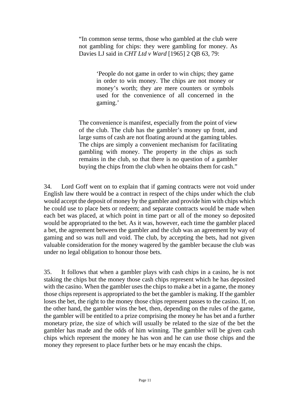"In common sense terms, those who gambled at the club were not gambling for chips: they were gambling for money. As Davies LJ said in *CHT Ltd v Ward* [1965] 2 QB 63, 79:

> 'People do not game in order to win chips; they game in order to win money. The chips are not money or money's worth; they are mere counters or symbols used for the convenience of all concerned in the gaming.'

The convenience is manifest, especially from the point of view of the club. The club has the gambler's money up front, and large sums of cash are not floating around at the gaming tables. The chips are simply a convenient mechanism for facilitating gambling with money. The property in the chips as such remains in the club, so that there is no question of a gambler buying the chips from the club when he obtains them for cash."

34. Lord Goff went on to explain that if gaming contracts were not void under English law there would be a contract in respect of the chips under which the club would accept the deposit of money by the gambler and provide him with chips which he could use to place bets or redeem; and separate contracts would be made when each bet was placed, at which point in time part or all of the money so deposited would be appropriated to the bet. As it was, however, each time the gambler placed a bet, the agreement between the gambler and the club was an agreement by way of gaming and so was null and void. The club, by accepting the bets, had not given valuable consideration for the money wagered by the gambler because the club was under no legal obligation to honour those bets.

35. It follows that when a gambler plays with cash chips in a casino, he is not staking the chips but the money those cash chips represent which he has deposited with the casino. When the gambler uses the chips to make a bet in a game, the money those chips represent is appropriated to the bet the gambler is making. If the gambler loses the bet, the right to the money those chips represent passes to the casino. If, on the other hand, the gambler wins the bet, then, depending on the rules of the game, the gambler will be entitled to a prize comprising the money he has bet and a further monetary prize, the size of which will usually be related to the size of the bet the gambler has made and the odds of him winning. The gambler will be given cash chips which represent the money he has won and he can use those chips and the money they represent to place further bets or he may encash the chips.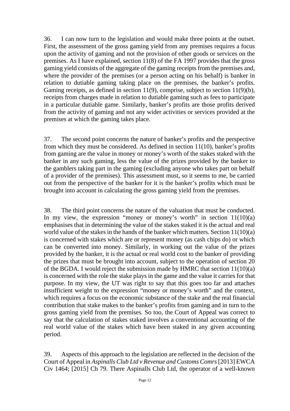36. I can now turn to the legislation and would make three points at the outset. First, the assessment of the gross gaming yield from any premises requires a focus upon the activity of gaming and not the provision of other goods or services on the premises. As I have explained, section 11(8) of the FA 1997 provides that the gross gaming yield consists of the aggregate of the gaming receipts from the premises and, where the provider of the premises (or a person acting on his behalf) is banker in relation to dutiable gaming taking place on the premises, the banker's profits. Gaming receipts, as defined in section 11(9), comprise, subject to section 11(9)(b), receipts from charges made in relation to dutiable gaming such as fees to participate in a particular dutiable game. Similarly, banker's profits are those profits derived from the activity of gaming and not any wider activities or services provided at the premises at which the gaming takes place.

37. The second point concerns the nature of banker's profits and the perspective from which they must be considered. As defined in section 11(10), banker's profits from gaming are the value in money or money's worth of the stakes staked with the banker in any such gaming, less the value of the prizes provided by the banker to the gamblers taking part in the gaming (excluding anyone who takes part on behalf of a provider of the premises). This assessment must, so it seems to me, be carried out from the perspective of the banker for it is the banker's profits which must be brought into account in calculating the gross gaming yield from the premises.

38. The third point concerns the nature of the valuation that must be conducted. In my view, the expression "money or money's worth" in section  $11(10)(a)$ emphasises that in determining the value of the stakes staked it is the actual and real world value of the stakes in the hands of the banker which matters. Section 11(10)(a) is concerned with stakes which are or represent money (as cash chips do) or which can be converted into money. Similarly, in working out the value of the prizes provided by the banker, it is the actual or real world cost to the banker of providing the prizes that must be brought into account, subject to the operation of section 20 of the BGDA. I would reject the submission made by HMRC that section 11(10)(a) is concerned with the role the stake plays in the game and the value it carries for that purpose. In my view, the UT was right to say that this goes too far and attaches insufficient weight to the expression "money or money's worth" and the context, which requires a focus on the economic substance of the stake and the real financial contribution that stake makes to the banker's profits from gaming and in turn to the gross gaming yield from the premises. So too, the Court of Appeal was correct to say that the calculation of stakes staked involves a conventional accounting of the real world value of the stakes which have been staked in any given accounting period.

39. Aspects of this approach to the legislation are reflected in the decision of the Court of Appeal in *Aspinalls Club Ltd v Revenue and Customs Comrs*[2013] EWCA Civ 1464; [2015] Ch 79. There Aspinalls Club Ltd, the operator of a well-known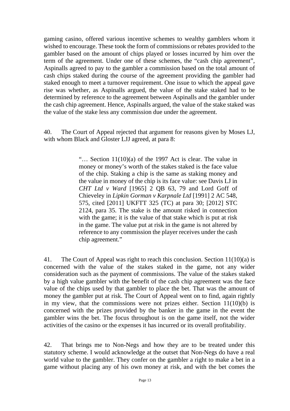gaming casino, offered various incentive schemes to wealthy gamblers whom it wished to encourage. These took the form of commissions or rebates provided to the gambler based on the amount of chips played or losses incurred by him over the term of the agreement. Under one of these schemes, the "cash chip agreement", Aspinalls agreed to pay to the gambler a commission based on the total amount of cash chips staked during the course of the agreement providing the gambler had staked enough to meet a turnover requirement. One issue to which the appeal gave rise was whether, as Aspinalls argued, the value of the stake staked had to be determined by reference to the agreement between Aspinalls and the gambler under the cash chip agreement. Hence, Aspinalls argued, the value of the stake staked was the value of the stake less any commission due under the agreement.

40. The Court of Appeal rejected that argument for reasons given by Moses LJ, with whom Black and Gloster LJJ agreed, at para 8:

> "… Section 11(10)(a) of the 1997 Act is clear. The value in money or money's worth of the stakes staked is the face value of the chip. Staking a chip is the same as staking money and the value in money of the chip is its face value: see Davis LJ in *CHT Ltd v Ward* [1965] 2 QB 63, 79 and Lord Goff of Chieveley in *Lipkin Gorman v Karpnale Ltd* [1991] 2 AC 548, 575, cited [2011] UKFTT 325 (TC) at para 30; [2012] STC 2124, para 35. The stake is the amount risked in connection with the game; it is the value of that stake which is put at risk in the game. The value put at risk in the game is not altered by reference to any commission the player receives under the cash chip agreement."

41. The Court of Appeal was right to reach this conclusion. Section 11(10)(a) is concerned with the value of the stakes staked in the game, not any wider consideration such as the payment of commissions. The value of the stakes staked by a high value gambler with the benefit of the cash chip agreement was the face value of the chips used by that gambler to place the bet. That was the amount of money the gambler put at risk. The Court of Appeal went on to find, again rightly in my view, that the commissions were not prizes either. Section  $11(10)(b)$  is concerned with the prizes provided by the banker in the game in the event the gambler wins the bet. The focus throughout is on the game itself, not the wider activities of the casino or the expenses it has incurred or its overall profitability.

42. That brings me to Non-Negs and how they are to be treated under this statutory scheme. I would acknowledge at the outset that Non-Negs do have a real world value to the gambler. They confer on the gambler a right to make a bet in a game without placing any of his own money at risk, and with the bet comes the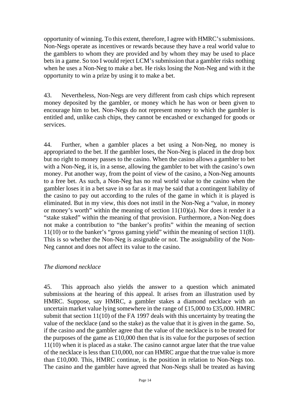opportunity of winning. To this extent, therefore, I agree with HMRC's submissions. Non-Negs operate as incentives or rewards because they have a real world value to the gamblers to whom they are provided and by whom they may be used to place bets in a game. So too I would reject LCM's submission that a gambler risks nothing when he uses a Non-Neg to make a bet. He risks losing the Non-Neg and with it the opportunity to win a prize by using it to make a bet.

43. Nevertheless, Non-Negs are very different from cash chips which represent money deposited by the gambler, or money which he has won or been given to encourage him to bet. Non-Negs do not represent money to which the gambler is entitled and, unlike cash chips, they cannot be encashed or exchanged for goods or services.

44. Further, when a gambler places a bet using a Non-Neg, no money is appropriated to the bet. If the gambler loses, the Non-Neg is placed in the drop box but no right to money passes to the casino. When the casino allows a gambler to bet with a Non-Neg, it is, in a sense, allowing the gambler to bet with the casino's own money. Put another way, from the point of view of the casino, a Non-Neg amounts to a free bet. As such, a Non-Neg has no real world value to the casino when the gambler loses it in a bet save in so far as it may be said that a contingent liability of the casino to pay out according to the rules of the game in which it is played is eliminated. But in my view, this does not instil in the Non-Neg a "value, in money or money's worth" within the meaning of section 11(10)(a). Nor does it render it a "stake staked" within the meaning of that provision. Furthermore, a Non-Neg does not make a contribution to "the banker's profits" within the meaning of section 11(10) or to the banker's "gross gaming yield" within the meaning of section 11(8). This is so whether the Non-Neg is assignable or not. The assignability of the Non-Neg cannot and does not affect its value to the casino.

#### *The diamond necklace*

45. This approach also yields the answer to a question which animated submissions at the hearing of this appeal. It arises from an illustration used by HMRC. Suppose, say HMRC, a gambler stakes a diamond necklace with an uncertain market value lying somewhere in the range of £15,000 to £35,000. HMRC submit that section 11(10) of the FA 1997 deals with this uncertainty by treating the value of the necklace (and so the stake) as the value that it is given in the game. So, if the casino and the gambler agree that the value of the necklace is to be treated for the purposes of the game as  $£10,000$  then that is its value for the purposes of section 11(10) when it is placed as a stake. The casino cannot argue later that the true value of the necklace is less than £10,000, nor can HMRC argue that the true value is more than £10,000. This, HMRC continue, is the position in relation to Non-Negs too. The casino and the gambler have agreed that Non-Negs shall be treated as having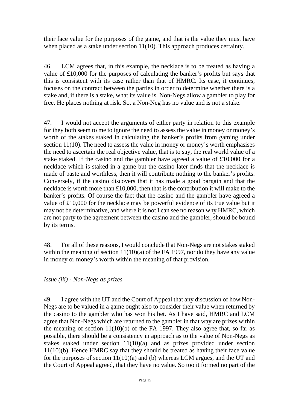their face value for the purposes of the game, and that is the value they must have when placed as a stake under section 11(10). This approach produces certainty.

46. LCM agrees that, in this example, the necklace is to be treated as having a value of £10,000 for the purposes of calculating the banker's profits but says that this is consistent with its case rather than that of HMRC. Its case, it continues, focuses on the contract between the parties in order to determine whether there is a stake and, if there is a stake, what its value is. Non-Negs allow a gambler to play for free. He places nothing at risk. So, a Non-Neg has no value and is not a stake.

47. I would not accept the arguments of either party in relation to this example for they both seem to me to ignore the need to assess the value in money or money's worth of the stakes staked in calculating the banker's profits from gaming under section 11(10). The need to assess the value in money or money's worth emphasises the need to ascertain the real objective value, that is to say, the real world value of a stake staked. If the casino and the gambler have agreed a value of £10,000 for a necklace which is staked in a game but the casino later finds that the necklace is made of paste and worthless, then it will contribute nothing to the banker's profits. Conversely, if the casino discovers that it has made a good bargain and that the necklace is worth more than £10,000, then that is the contribution it will make to the banker's profits. Of course the fact that the casino and the gambler have agreed a value of £10,000 for the necklace may be powerful evidence of its true value but it may not be determinative, and where it is not I can see no reason why HMRC, which are not party to the agreement between the casino and the gambler, should be bound by its terms.

48. For all of these reasons, I would conclude that Non-Negs are not stakes staked within the meaning of section 11(10)(a) of the FA 1997, nor do they have any value in money or money's worth within the meaning of that provision.

*Issue (iii) - Non-Negs as prizes*

49. I agree with the UT and the Court of Appeal that any discussion of how Non-Negs are to be valued in a game ought also to consider their value when returned by the casino to the gambler who has won his bet. As I have said, HMRC and LCM agree that Non-Negs which are returned to the gambler in that way are prizes within the meaning of section  $11(10)(b)$  of the FA 1997. They also agree that, so far as possible, there should be a consistency in approach as to the value of Non-Negs as stakes staked under section 11(10)(a) and as prizes provided under section 11(10)(b). Hence HMRC say that they should be treated as having their face value for the purposes of section 11(10)(a) and (b) whereas LCM argues, and the UT and the Court of Appeal agreed, that they have no value. So too it formed no part of the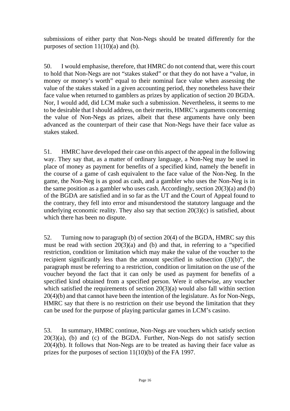submissions of either party that Non-Negs should be treated differently for the purposes of section  $11(10)(a)$  and (b).

50. I would emphasise, therefore, that HMRC do not contend that, were this court to hold that Non-Negs are not "stakes staked" or that they do not have a "value, in money or money's worth" equal to their nominal face value when assessing the value of the stakes staked in a given accounting period, they nonetheless have their face value when returned to gamblers as prizes by application of section 20 BGDA. Nor, I would add, did LCM make such a submission. Nevertheless, it seems to me to be desirable that I should address, on their merits, HMRC's arguments concerning the value of Non-Negs as prizes, albeit that these arguments have only been advanced as the counterpart of their case that Non-Negs have their face value as stakes staked.

51. HMRC have developed their case on this aspect of the appeal in the following way. They say that, as a matter of ordinary language, a Non-Neg may be used in place of money as payment for benefits of a specified kind, namely the benefit in the course of a game of cash equivalent to the face value of the Non-Neg. In the game, the Non-Neg is as good as cash, and a gambler who uses the Non-Neg is in the same position as a gambler who uses cash. Accordingly, section  $20(3)(a)$  and (b) of the BGDA are satisfied and in so far as the UT and the Court of Appeal found to the contrary, they fell into error and misunderstood the statutory language and the underlying economic reality. They also say that section  $20(3)(c)$  is satisfied, about which there has been no dispute.

52. Turning now to paragraph (b) of section 20(4) of the BGDA, HMRC say this must be read with section 20(3)(a) and (b) and that, in referring to a "specified restriction, condition or limitation which may make the value of the voucher to the recipient significantly less than the amount specified in subsection (3)(b)", the paragraph must be referring to a restriction, condition or limitation on the use of the voucher beyond the fact that it can only be used as payment for benefits of a specified kind obtained from a specified person. Were it otherwise, any voucher which satisfied the requirements of section 20(3)(a) would also fall within section 20(4)(b) and that cannot have been the intention of the legislature. As for Non-Negs, HMRC say that there is no restriction on their use beyond the limitation that they can be used for the purpose of playing particular games in LCM's casino.

53. In summary, HMRC continue, Non-Negs are vouchers which satisfy section  $20(3)(a)$ , (b) and (c) of the BGDA. Further, Non-Negs do not satisfy section  $20(4)(b)$ . It follows that Non-Negs are to be treated as having their face value as prizes for the purposes of section 11(10)(b) of the FA 1997.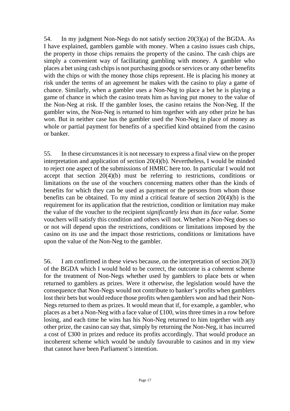54. In my judgment Non-Negs do not satisfy section 20(3)(a) of the BGDA. As I have explained, gamblers gamble with money. When a casino issues cash chips, the property in those chips remains the property of the casino. The cash chips are simply a convenient way of facilitating gambling with money. A gambler who places a bet using cash chips is not purchasing goods or services or any other benefits with the chips or with the money those chips represent. He is placing his money at risk under the terms of an agreement he makes with the casino to play a game of chance. Similarly, when a gambler uses a Non-Neg to place a bet he is playing a game of chance in which the casino treats him as having put money to the value of the Non-Neg at risk. If the gambler loses, the casino retains the Non-Neg. If the gambler wins, the Non-Neg is returned to him together with any other prize he has won. But in neither case has the gambler used the Non-Neg in place of money as whole or partial payment for benefits of a specified kind obtained from the casino or banker.

55. In these circumstances it is not necessary to express a final view on the proper interpretation and application of section 20(4)(b). Nevertheless, I would be minded to reject one aspect of the submissions of HMRC here too. In particular I would not accept that section 20(4)(b) must be referring to restrictions, conditions or limitations on the use of the vouchers concerning matters other than the kinds of benefits for which they can be used as payment or the persons from whom those benefits can be obtained. To my mind a critical feature of section 20(4)(b) is the requirement for its application that the restriction, condition or limitation may make the value of the voucher to the recipient *significantly less than its face value*. Some vouchers will satisfy this condition and others will not. Whether a Non-Neg does so or not will depend upon the restrictions, conditions or limitations imposed by the casino on its use and the impact those restrictions, conditions or limitations have upon the value of the Non-Neg to the gambler.

56. I am confirmed in these views because, on the interpretation of section 20(3) of the BGDA which I would hold to be correct, the outcome is a coherent scheme for the treatment of Non-Negs whether used by gamblers to place bets or when returned to gamblers as prizes. Were it otherwise, the legislation would have the consequence that Non-Negs would not contribute to banker's profits when gamblers lost their bets but would reduce those profits when gamblers won and had their Non-Negs returned to them as prizes. It would mean that if, for example, a gambler, who places as a bet a Non-Neg with a face value of £100, wins three times in a row before losing, and each time he wins has his Non-Neg returned to him together with any other prize, the casino can say that, simply by returning the Non-Neg, it has incurred a cost of £300 in prizes and reduce its profits accordingly. That would produce an incoherent scheme which would be unduly favourable to casinos and in my view that cannot have been Parliament's intention.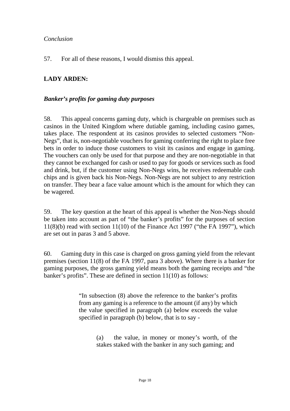#### *Conclusion*

57. For all of these reasons, I would dismiss this appeal.

## **LADY ARDEN:**

## *Banker's profits for gaming duty purposes*

58. This appeal concerns gaming duty, which is chargeable on premises such as casinos in the United Kingdom where dutiable gaming, including casino games[,](https://www.lexisnexis.com/uk/legal/#ref2_68616C735F637573746F6D65785F31313031_ID0EPCAC) takes place. The respondent at its casinos provides to selected customers "Non-Negs", that is, non-negotiable vouchers for gaming conferring the right to place free bets in order to induce those customers to visit its casinos and engage in gaming. The vouchers can only be used for that purpose and they are non-negotiable in that they cannot be exchanged for cash or used to pay for goods or services such as food and drink, but, if the customer using Non-Negs wins, he receives redeemable cash chips and is given back his Non-Negs. Non-Negs are not subject to any restriction on transfer. They bear a face value amount which is the amount for which they can be wagered.

59. The key question at the heart of this appeal is whether the Non-Negs should be taken into account as part of "the banker's profits" for the purposes of section  $11(8)(b)$  read with section  $11(10)$  of the Finance Act 1997 ("the FA 1997"), which are set out in paras 3 and 5 above.

60. Gaming duty in this case is charged on gross gaming yield from the relevant premises (section 11(8) of the FA 1997, para 3 above). Where there is a banker for gaming purposes, the gross gaming yield means both the gaming receipts and "the banker's profits". These are defined in section 11(10) as follows:

> "In subsection (8) above the reference to the banker's profits from any gaming is a reference to the amount (if any) by which the value specified in paragraph (a) below exceeds the value specified in paragraph (b) below, that is to say -

> > (a) the value, in money or money's worth, of the stakes staked with the banker in any such gaming; and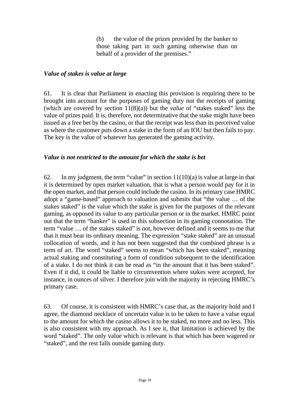(b) the value of the prizes provided by the banker to those taking part in such gaming otherwise than on behalf of a provider of the premises."

#### *Value of stakes is value at large*

61. It is clear that Parliament in enacting this provision is requiring there to be brought into account for the purposes of gaming duty not the receipts of gaming (which are covered by section 11(8)(a)) but the *value* of "stakes staked" less the value of prizes paid. It is, therefore, not determinative that the stake might have been issued as a free bet by the casino, or that the receipt was less than its perceived value as where the customer puts down a stake in the form of an IOU but then fails to pay. The key is the value of whatever has generated the gaming activity.

#### *Value is not restricted to the amount for which the stake is bet*

62. In my judgment, the term "value" in section  $11(10)(a)$  is value at large in that it is determined by open market valuation, that is what a person would pay for it in the open market, and that person could include the casino. In its primary case HMRC adopt a "game-based" approach to valuation and submits that "the value … of the stakes staked" is the value which the stake is given for the purposes of the relevant gaming, as opposed its value to any particular person or in the market. HMRC point out that the term "banker" is used in this subsection in its gaming connotation. The term "value … of the stakes staked" is not, however defined and it seems to me that that it must bear its ordinary meaning. The expression "stake staked" are an unusual collocation of words, and it has not been suggested that the combined phrase is a term of art. The word "staked" seems to mean "which has been staked", meaning actual staking and constituting a form of condition subsequent to the identification of a stake. I do not think it can be read as "in the amount that it has been staked". Even if it did, it could be liable to circumvention where stakes were accepted, for instance, in ounces of silver. I therefore join with the majority in rejecting HMRC's primary case.

63. Of course, it is consistent with HMRC's case that, as the majority hold and I agree, the diamond necklace of uncertain value is to be taken to have a value equal to the amount for which the casino allows it to be staked, no more and no less. This is also consistent with my approach. As I see it, that limitation is achieved by the word "staked". The only value which is relevant is that which has been wagered or "staked", and the rest falls outside gaming duty.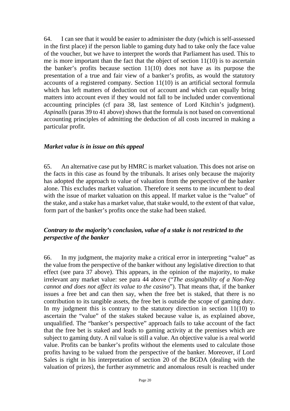64. I can see that it would be easier to administer the duty (which is self-assessed in the first place) if the person liable to gaming duty had to take only the face value of the voucher, but we have to interpret the words that Parliament has used. This to me is more important than the fact that the object of section  $11(10)$  is to ascertain the banker's profits because section 11(10) does not have as its purpose the presentation of a true and fair view of a banker's profits, as would the statutory accounts of a registered company. Section 11(10) is an artificial sectoral formula which has left matters of deduction out of account and which can equally bring matters into account even if they would not fall to be included under conventional accounting principles (cf para 38, last sentence of Lord Kitchin's judgment). *Aspinalls* (paras 39 to 41 above) shows that the formula is not based on conventional accounting principles of admitting the deduction of all costs incurred in making a particular profit.

#### *Market value is in issue on this appeal*

65. An alternative case put by HMRC is market valuation. This does not arise on the facts in this case as found by the tribunals. It arises only because the majority has adopted the approach to value of valuation from the perspective of the banker alone. This excludes market valuation. Therefore it seems to me incumbent to deal with the issue of market valuation on this appeal. If market value is the "value" of the stake, and a stake has a market value, that stake would, to the extent of that value, form part of the banker's profits once the stake had been staked.

## *Contrary to the majority's conclusion, value of a stake is not restricted to the perspective of the banker*

66. In my judgment, the majority make a critical error in interpreting "value" as the value from the perspective of the banker without any legislative direction to that effect (see para 37 above). This appears, in the opinion of the majority, to make irrelevant any market value: see para 44 above ("*The assignability of a Non-Neg cannot and does not affect its value to the casino*"). That means that, if the banker issues a free bet and can then say, when the free bet is staked, that there is no contribution to its tangible assets, the free bet is outside the scope of gaming duty. In my judgment this is contrary to the statutory direction in section 11(10) to ascertain the "value" of the stakes staked because value is, as explained above, unqualified. The "banker's perspective" approach fails to take account of the fact that the free bet is staked and leads to gaming activity at the premises which are subject to gaming duty. A nil value is still a value. An objective value is a real world value. Profits can be banker's profits without the elements used to calculate those profits having to be valued from the perspective of the banker. Moreover, if Lord Sales is right in his interpretation of section 20 of the BGDA (dealing with the valuation of prizes), the further asymmetric and anomalous result is reached under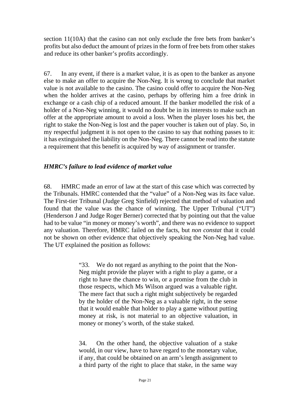section 11(10A) that the casino can not only exclude the free bets from banker's profits but also deduct the amount of prizes in the form of free bets from other stakes and reduce its other banker's profits accordingly.

67. In any event, if there is a market value, it is as open to the banker as anyone else to make an offer to acquire the Non-Neg. It is wrong to conclude that market value is not available to the casino. The casino could offer to acquire the Non-Neg when the holder arrives at the casino, perhaps by offering him a free drink in exchange or a cash chip of a reduced amount. If the banker modelled the risk of a holder of a Non-Neg winning, it would no doubt be in its interests to make such an offer at the appropriate amount to avoid a loss. When the player loses his bet, the right to stake the Non-Neg is lost and the paper voucher is taken out of play. So, in my respectful judgment it is not open to the casino to say that nothing passes to it: it has extinguished the liability on the Non-Neg. There cannot be read into the statute a requirement that this benefit is acquired by way of assignment or transfer.

## *HMRC's failure to lead evidence of market value*

68. HMRC made an error of law at the start of this case which was corrected by the Tribunals. HMRC contended that the "value" of a Non-Neg was its face value. The First-tier Tribunal (Judge Greg Sinfield) rejected that method of valuation and found that the value was the chance of winning. The Upper Tribunal ("UT") (Henderson J and Judge Roger Berner) corrected that by pointing out that the value had to be value "in money or money's worth", and there was no evidence to support any valuation. Therefore, HMRC failed on the facts, but *non constat* that it could not be shown on other evidence that objectively speaking the Non-Neg had value. The UT explained the position as follows:

> "33. We do not regard as anything to the point that the Non-Neg might provide the player with a right to play a game, or a right to have the chance to win, or a promise from the club in those respects, which Ms Wilson argued was a valuable right. The mere fact that such a right might subjectively be regarded by the holder of the Non-Neg as a valuable right, in the sense that it would enable that holder to play a game without putting money at risk, is not material to an objective valuation, in money or money's worth, of the stake staked.

> 34. On the other hand, the objective valuation of a stake would, in our view, have to have regard to the monetary value, if any, that could be obtained on an arm's length assignment to a third party of the right to place that stake, in the same way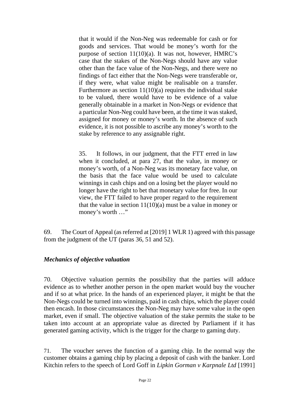that it would if the Non-Neg was redeemable for cash or for goods and services. That would be money's worth for the purpose of section 11(10)(a). It was not, however, HMRC's case that the stakes of the Non-Negs should have any value other than the face value of the Non-Negs, and there were no findings of fact either that the Non-Negs were transferable or, if they were, what value might be realisable on a transfer. Furthermore as section 11(10)(a) requires the individual stake to be valued, there would have to be evidence of a value generally obtainable in a market in Non-Negs or evidence that a particular Non-Neg could have been, at the time it was staked, assigned for money or money's worth. In the absence of such evidence, it is not possible to ascribe any money's worth to the stake by reference to any assignable right.

35. It follows, in our judgment, that the FTT erred in law when it concluded, at para 27, that the value, in money or money's worth, of a Non-Neg was its monetary face value, on the basis that the face value would be used to calculate winnings in cash chips and on a losing bet the player would no longer have the right to bet that monetary value for free. In our view, the FTT failed to have proper regard to the requirement that the value in section  $11(10)(a)$  must be a value in money or money's worth …"

69. The Court of Appeal (as referred at [2019] 1 WLR 1) agreed with this passage from the judgment of the UT (paras 36, 51 and 52).

#### *Mechanics of objective valuation*

70. Objective valuation permits the possibility that the parties will adduce evidence as to whether another person in the open market would buy the voucher and if so at what price. In the hands of an experienced player, it might be that the Non-Negs could be turned into winnings, paid in cash chips, which the player could then encash. In those circumstances the Non-Neg may have some value in the open market, even if small. The objective valuation of the stake permits the stake to be taken into account at an appropriate value as directed by Parliament if it has generated gaming activity, which is the trigger for the charge to gaming duty.

71. The voucher serves the function of a gaming chip. In the normal way the customer obtains a gaming chip by placing a deposit of cash with the banker. Lord Kitchin refers to the speech of Lord Goff in *Lipkin Gorman v Karpnale Ltd* [1991]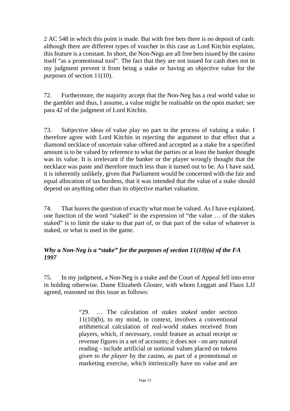2 AC 548 in which this point is made. But with free bets there is no deposit of cash: although there are different types of voucher in this case as Lord Kitchin explains, this feature is a constant. In short, the Non-Negs are all free bets issued by the casino itself "as a promotional tool". The fact that they are not issued for cash does not in my judgment prevent it from being a stake or having an objective value for the purposes of section 11(10).

72. Furthermore, the majority accept that the Non-Neg has a real world value to the gambler and thus, I assume, a value might be realisable on the open market: see para 42 of the judgment of Lord Kitchin.

73. Subjective ideas of value play no part in the process of valuing a stake. I therefore agree with Lord Kitchin in rejecting the argument to that effect that a diamond necklace of uncertain value offered and accepted as a stake for a specified amount is to be valued by reference to what the parties or at least the banker thought was its value. It is irrelevant if the banker or the player wrongly thought that the necklace was paste and therefore much less than it turned out to be. As I have said, it is inherently unlikely, given that Parliament would be concerned with the fair and equal allocation of tax burdens, that it was intended that the value of a stake should depend on anything other than its objective market valuation.

74. That leaves the question of exactly what must be valued. As I have explained, one function of the word "staked" in the expression of "the value … of the stakes staked" is to limit the stake to that part of, or that part of the value of whatever is staked, or what is used in the game.

## *Why a Non-Neg is a "stake" for the purposes of section 11(10)(a) of the FA 1997*

75. In my judgment, a Non-Neg is a stake and the Court of Appeal fell into error in holding otherwise. Dame Elizabeth Gloster, with whom Leggatt and Flaux LJJ agreed, reasoned on this issue as follows:

> "29. … The calculation of *stakes staked* under section 11(10)(b), to my mind, in context, involves a conventional arithmetical calculation of real-world stakes received from players, which, if necessary, could feature as actual receipt or revenue figures in a set of accounts; it does not - on any natural reading - include artificial or notional values placed on tokens *given to the player* by the casino, as part of a promotional or marketing exercise, which intrinsically have no value and are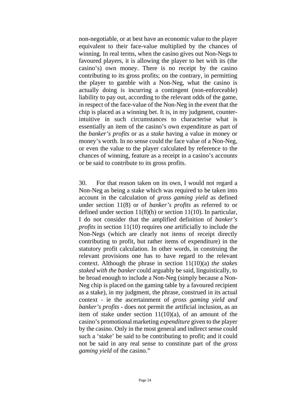non-negotiable, or at best have an economic value to the player equivalent to their face-value multiplied by the chances of winning. In real terms, when the casino gives out Non-Negs to favoured players, it is allowing the player to bet with its (the casino's) own money. There is no receipt by the casino contributing to its gross profits; on the contrary, in permitting the player to gamble with a Non-Neg, what the casino is actually doing is incurring a contingent (non-enforceable) liability to pay out, according to the relevant odds of the game, in respect of the face-value of the Non-Neg in the event that the chip is placed as a winning bet. It is, in my judgment, counterintuitive in such circumstances to characterise what is essentially an item of the casino's own expenditure as part of the *banker's profits* or as a *stake* having a value in money or money's worth. In no sense could the face value of a Non-Neg, or even the value to the player calculated by reference to the chances of winning, feature as a receipt in a casino's accounts or be said to contribute to its gross profits.

30. For that reason taken on its own, I would not regard a Non-Neg as being a stake which was required to be taken into account in the calculation of *gross gaming yield* as defined under [section 11\(8\)](https://uk.practicallaw.thomsonreuters.com/Document/I10B6AC00E44E11DA8D70A0E70A78ED65/View/FullText.html?originationContext=document&transitionType=DocumentItem&contextData=(sc.DocLink)) or of *banker's profits* as referred to or defined under section 11(8)(b) or section 11(10). In particular, I do not consider that the amplified definition of *banker's profits* in [section 11\(10\)](https://uk.practicallaw.thomsonreuters.com/Document/I10B6AC00E44E11DA8D70A0E70A78ED65/View/FullText.html?originationContext=document&transitionType=DocumentItem&contextData=(sc.DocLink)) requires one artificially to include the Non-Negs (which are clearly not items of receipt directly contributing to profit, but rather items of expenditure) in the statutory profit calculation. In other words, in construing the relevant provisions one has to have regard to the relevant context. Although the phrase in section 11(10)(a) *the stakes staked with the banker* could arguably be said, linguistically, to be broad enough to include a Non-Neg (simply because a Non-Neg chip is placed on the gaming table by a favoured recipient as a stake), in my judgment, the phrase, construed in its actual context - ie the ascertainment of *gross gaming yield and banker's profits* - does not permit the artificial inclusion, as an item of stake under section  $11(10)(a)$ , of an amount of the casino's promotional marketing *expenditure* given to the player by the casino. Only in the most general and indirect sense could such a 'stake' be said to be contributing to profit; and it could not be said in any real sense to constitute part of the *gross gaming yield* of the casino."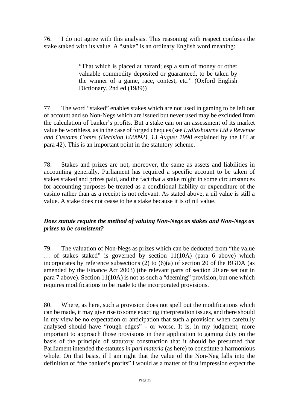76. I do not agree with this analysis. This reasoning with respect confuses the stake staked with its value. A "stake" is an ordinary English word meaning:

> "That which is placed at hazard; esp a sum of money or other valuable commodity deposited or guaranteed, to be taken by the winner of a game, race, contest, etc." (Oxford English Dictionary, 2nd ed (1989))

77. The word "staked" enables stakes which are not used in gaming to be left out of account and so Non-Negs which are issued but never used may be excluded from the calculation of banker's profits. But a stake can on an assessment of its market value be worthless, as in the case of forged cheques (see *Lydiashourne Ltd v Revenue and Customs Comrs (Decision E00092), 13 August 1998* explained by the UT at para 42). This is an important point in the statutory scheme.

78. Stakes and prizes are not, moreover, the same as assets and liabilities in accounting generally. Parliament has required a specific account to be taken of stakes staked and prizes paid, and the fact that a stake might in some circumstances for accounting purposes be treated as a conditional liability or expenditure of the casino rather than as a receipt is not relevant. As stated above, a nil value is still a value. A stake does not cease to be a stake because it is of nil value.

## *Does statute require the method of valuing Non-Negs as stakes and Non-Negs as prizes to be consistent?*

79. The valuation of Non-Negs as prizes which can be deducted from "the value … of stakes staked" is governed by section 11(10A) (para 6 above) which incorporates by reference subsections (2) to (6)(a) of section 20 of the BGDA (as amended by the Finance Act 2003) (the relevant parts of section 20 are set out in para 7 above). Section 11(10A) is not as such a "deeming" provision, but one which requires modifications to be made to the incorporated provisions.

80. Where, as here, such a provision does not spell out the modifications which can be made, it may give rise to some exacting interpretation issues, and there should in my view be no expectation or anticipation that such a provision when carefully analysed should have "rough edges" - or worse. It is, in my judgment, more important to approach those provisions in their application to gaming duty on the basis of the principle of statutory construction that it should be presumed that Parliament intended the statutes *in pari materia* (as here) to constitute a harmonious whole. On that basis, if I am right that the value of the Non-Neg falls into the definition of "the banker's profits" I would as a matter of first impression expect the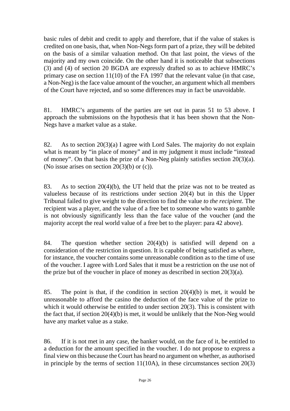basic rules of debit and credit to apply and therefore, that if the value of stakes is credited on one basis, that, when Non-Negs form part of a prize, they will be debited on the basis of a similar valuation method. On that last point, the views of the majority and my own coincide. On the other hand it is noticeable that subsections (3) and (4) of section 20 BGDA are expressly drafted so as to achieve HMRC's primary case on section 11(10) of the FA 1997 that the relevant value (in that case, a Non-Neg) is the face value amount of the voucher, an argument which all members of the Court have rejected, and so some differences may in fact be unavoidable.

81. HMRC's arguments of the parties are set out in paras 51 to 53 above. I approach the submissions on the hypothesis that it has been shown that the Non-Negs have a market value as a stake.

82. As to section 20(3)(a) I agree with Lord Sales. The majority do not explain what is meant by "in place of money" and in my judgment it must include "instead" of money". On that basis the prize of a Non-Neg plainly satisfies section 20(3)(a). (No issue arises on section  $20(3)(b)$  or (c)).

83. As to section 20(4)(b), the UT held that the prize was not to be treated as valueless because of its restrictions under section 20(4) but in this the Upper Tribunal failed to give weight to the direction to find the value *to the recipient*. The recipient was a player, and the value of a free bet to someone who wants to gamble is not obviously significantly less than the face value of the voucher (and the majority accept the real world value of a free bet to the player: para 42 above).

84. The question whether section 20(4)(b) is satisfied will depend on a consideration of the restriction in question. It is capable of being satisfied as where, for instance, the voucher contains some unreasonable condition as to the time of use of the voucher. I agree with Lord Sales that it must be a restriction on the use not of the prize but of the voucher in place of money as described in section  $20(3)(a)$ .

85. The point is that, if the condition in section 20(4)(b) is met, it would be unreasonable to afford the casino the deduction of the face value of the prize to which it would otherwise be entitled to under section 20(3). This is consistent with the fact that, if section 20(4)(b) is met, it would be unlikely that the Non-Neg would have any market value as a stake.

86. If it is not met in any case, the banker would, on the face of it, be entitled to a deduction for the amount specified in the voucher. I do not propose to express a final view on this because the Court has heard no argument on whether, as authorised in principle by the terms of section  $11(10A)$ , in these circumstances section  $20(3)$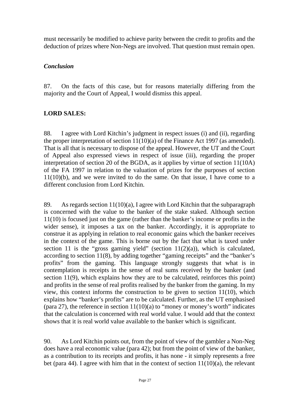must necessarily be modified to achieve parity between the credit to profits and the deduction of prizes where Non-Negs are involved. That question must remain open.

## *Conclusion*

87. On the facts of this case, but for reasons materially differing from the majority and the Court of Appeal, I would dismiss this appeal.

## **LORD SALES:**

88. I agree with Lord Kitchin's judgment in respect issues (i) and (ii), regarding the proper interpretation of section 11(10)(a) of the Finance Act 1997 (as amended). That is all that is necessary to dispose of the appeal. However, the UT and the Court of Appeal also expressed views in respect of issue (iii), regarding the proper interpretation of section 20 of the BGDA, as it applies by virtue of section 11(10A) of the FA 1997 in relation to the valuation of prizes for the purposes of section 11(10)(b), and we were invited to do the same. On that issue, I have come to a different conclusion from Lord Kitchin.

89. As regards section 11(10)(a), I agree with Lord Kitchin that the subparagraph is concerned with the value to the banker of the stake staked. Although section 11(10) is focused just on the game (rather than the banker's income or profits in the wider sense), it imposes a tax on the banker. Accordingly, it is appropriate to construe it as applying in relation to real economic gains which the banker receives in the context of the game. This is borne out by the fact that what is taxed under section 11 is the "gross gaming yield" (section  $11(2)(a)$ ), which is calculated, according to section 11(8), by adding together "gaming receipts" and the "banker's profits" from the gaming. This language strongly suggests that what is in contemplation is receipts in the sense of real sums received by the banker (and section 11(9), which explains how they are to be calculated, reinforces this point) and profits in the sense of real profits realised by the banker from the gaming. In my view, this context informs the construction to be given to section 11(10), which explains how "banker's profits" are to be calculated. Further, as the UT emphasised (para 27), the reference in section  $11(10)(a)$  to "money or money's worth" indicates that the calculation is concerned with real world value. I would add that the context shows that it is real world value available to the banker which is significant.

90. As Lord Kitchin points out, from the point of view of the gambler a Non-Neg does have a real economic value (para 42); but from the point of view of the banker, as a contribution to its receipts and profits, it has none - it simply represents a free bet (para 44). I agree with him that in the context of section  $11(10)(a)$ , the relevant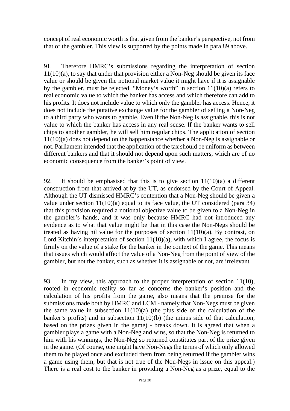concept of real economic worth is that given from the banker's perspective, not from that of the gambler. This view is supported by the points made in para 89 above.

91. Therefore HMRC's submissions regarding the interpretation of section 11(10)(a), to say that under that provision either a Non-Neg should be given its face value or should be given the notional market value it might have if it is assignable by the gambler, must be rejected. "Money's worth" in section 11(10)(a) refers to real economic value to which the banker has access and which therefore can add to his profits. It does not include value to which only the gambler has access. Hence, it does not include the putative exchange value for the gambler of selling a Non-Neg to a third party who wants to gamble. Even if the Non-Neg is assignable, this is not value to which the banker has access in any real sense. If the banker wants to sell chips to another gambler, he will sell him regular chips. The application of section 11(10)(a) does not depend on the happenstance whether a Non-Neg is assignable or not. Parliament intended that the application of the tax should be uniform as between different bankers and that it should not depend upon such matters, which are of no economic consequence from the banker's point of view.

92. It should be emphasised that this is to give section 11(10)(a) a different construction from that arrived at by the UT, as endorsed by the Court of Appeal. Although the UT dismissed HMRC's contention that a Non-Neg should be given a value under section  $11(10)(a)$  equal to its face value, the UT considered (para 34) that this provision required a notional objective value to be given to a Non-Neg in the gambler's hands, and it was only because HMRC had not introduced any evidence as to what that value might be that in this case the Non-Negs should be treated as having nil value for the purposes of section  $11(10)(a)$ . By contrast, on Lord Kitchin's interpretation of section  $11(10)(a)$ , with which I agree, the focus is firmly on the value of a stake for the banker in the context of the game. This means that issues which would affect the value of a Non-Neg from the point of view of the gambler, but not the banker, such as whether it is assignable or not, are irrelevant.

93. In my view, this approach to the proper interpretation of section 11(10), rooted in economic reality so far as concerns the banker's position and the calculation of his profits from the game, also means that the premise for the submissions made both by HMRC and LCM - namely that Non-Negs must be given the same value in subsection  $11(10)(a)$  (the plus side of the calculation of the banker's profits) and in subsection 11(10)(b) (the minus side of that calculation, based on the prizes given in the game) - breaks down. It is agreed that when a gambler plays a game with a Non-Neg and wins, so that the Non-Neg is returned to him with his winnings, the Non-Neg so returned constitutes part of the prize given in the game. (Of course, one might have Non-Negs the terms of which only allowed them to be played once and excluded them from being returned if the gambler wins a game using them, but that is not true of the Non-Negs in issue on this appeal.) There is a real cost to the banker in providing a Non-Neg as a prize, equal to the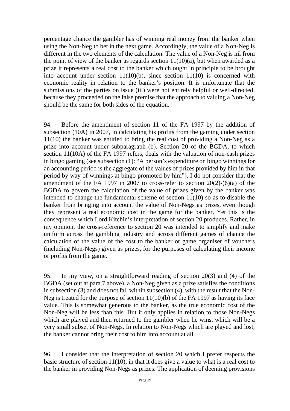percentage chance the gambler has of winning real money from the banker when using the Non-Neg to bet in the next game. Accordingly, the value of a Non-Neg is different in the two elements of the calculation. The value of a Non-Neg is nil from the point of view of the banker as regards section  $11(10)(a)$ , but when awarded as a prize it represents a real cost to the banker which ought in principle to be brought into account under section  $11(10)(b)$ , since section  $11(10)$  is concerned with economic reality in relation to the banker's position. It is unfortunate that the submissions of the parties on issue (iii) were not entirely helpful or well-directed, because they proceeded on the false premise that the approach to valuing a Non-Neg should be the same for both sides of the equation.

94. Before the amendment of section 11 of the FA 1997 by the addition of subsection (10A) in 2007, in calculating his profits from the gaming under section 11(10) the banker was entitled to bring the real cost of providing a Non-Neg as a prize into account under subparagraph (b). Section 20 of the BGDA, to which section 11(10A) of the FA 1997 refers, deals with the valuation of non-cash prizes in bingo gaming (see subsection (1): "A person's expenditure on bingo winnings for an accounting period is the aggregate of the values of prizes provided by him in that period by way of winnings at bingo promoted by him"). I do not consider that the amendment of the FA 1997 in 2007 to cross-refer to section  $20(2)-(6)(a)$  of the BGDA to govern the calculation of the value of prizes given by the banker was intended to change the fundamental scheme of section 11(10) so as to disable the banker from bringing into account the value of Non-Negs as prizes, even though they represent a real economic cost in the game for the banker. Yet this is the consequence which Lord Kitchin's interpretation of section 20 produces. Rather, in my opinion, the cross-reference to section 20 was intended to simplify and make uniform across the gambling industry and across different games of chance the calculation of the value of the cost to the banker or game organiser of vouchers (including Non-Negs) given as prizes, for the purposes of calculating their income or profits from the game.

95. In my view, on a straightforward reading of section 20(3) and (4) of the BGDA (set out at para 7 above), a Non-Neg given as a prize satisfies the conditions in subsection (3) and does not fall within subsection (4), with the result that the Non-Neg is treated for the purpose of section 11(10)(b) of the FA 1997 as having its face value. This is somewhat generous to the banker, as the true economic cost of the Non-Neg will be less than this. But it only applies in relation to those Non-Negs which are played and then returned to the gambler when he wins, which will be a very small subset of Non-Negs. In relation to Non-Negs which are played and lost, the banker cannot bring their cost to him into account at all.

96. I consider that the interpretation of section 20 which I prefer respects the basic structure of section 11(10), in that it does give a value to what is a real cost to the banker in providing Non-Negs as prizes. The application of deeming provisions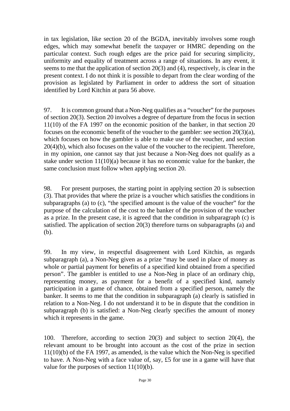in tax legislation, like section 20 of the BGDA, inevitably involves some rough edges, which may somewhat benefit the taxpayer or HMRC depending on the particular context. Such rough edges are the price paid for securing simplicity, uniformity and equality of treatment across a range of situations. In any event, it seems to me that the application of section 20(3) and (4), respectively, is clear in the present context. I do not think it is possible to depart from the clear wording of the provision as legislated by Parliament in order to address the sort of situation identified by Lord Kitchin at para 56 above.

97. It is common ground that a Non-Neg qualifies as a "voucher" for the purposes of section 20(3). Section 20 involves a degree of departure from the focus in section 11(10) of the FA 1997 on the economic position of the banker, in that section 20 focuses on the economic benefit of the voucher to the gambler: see section 20(3)(a), which focuses on how the gambler is able to make use of the voucher, and section 20(4)(b), which also focuses on the value of the voucher to the recipient. Therefore, in my opinion, one cannot say that just because a Non-Neg does not qualify as a stake under section 11(10)(a) because it has no economic value for the banker, the same conclusion must follow when applying section 20.

98. For present purposes, the starting point in applying section 20 is subsection (3). That provides that where the prize is a voucher which satisfies the conditions in subparagraphs (a) to (c), "the specified amount is the value of the voucher" for the purpose of the calculation of the cost to the banker of the provision of the voucher as a prize. In the present case, it is agreed that the condition in subparagraph (c) is satisfied. The application of section 20(3) therefore turns on subparagraphs (a) and (b).

99. In my view, in respectful disagreement with Lord Kitchin, as regards subparagraph (a), a Non-Neg given as a prize "may be used in place of money as whole or partial payment for benefits of a specified kind obtained from a specified person". The gambler is entitled to use a Non-Neg in place of an ordinary chip, representing money, as payment for a benefit of a specified kind, namely participation in a game of chance, obtained from a specified person, namely the banker. It seems to me that the condition in subparagraph (a) clearly is satisfied in relation to a Non-Neg. I do not understand it to be in dispute that the condition in subparagraph (b) is satisfied: a Non-Neg clearly specifies the amount of money which it represents in the game.

100. Therefore, according to section 20(3) and subject to section 20(4), the relevant amount to be brought into account as the cost of the prize in section 11(10)(b) of the FA 1997, as amended, is the value which the Non-Neg is specified to have. A Non-Neg with a face value of, say, £5 for use in a game will have that value for the purposes of section 11(10)(b).